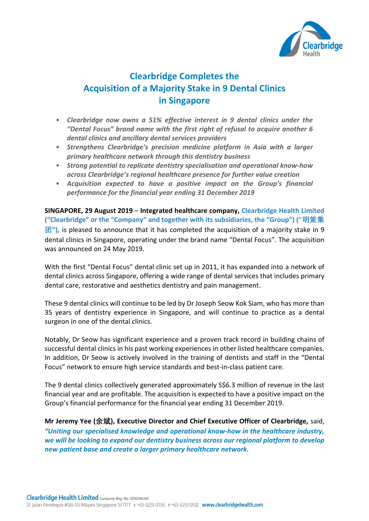

## **Clearbridge Completes the Acquisition of a Majority Stake in 9 Dental Clinics in Singapore**

- *Clearbridge now owns a 51% effective interest in 9 dental clinics under the "Dental Focus" brand name with the first right of refusal to acquire another 6 dental clinics and ancillary dental services providers*
- *Strengthens Clearbridge's precision medicine platform in Asia with a larger primary healthcare network through this dentistry business*
- *Strong potential to replicate dentistry specialisation and operational know-how across Clearbridge's regional healthcare presence for further value creation*
- *Acquisition expected to have a positive impact on the Group's financial performance for the financial year ending 31 December 2019*

**SINGAPORE, 29 August 2019** – **Integrated healthcare company, Clearbridge Health Limited ("Clearbridge" or the "Company" and together with its subsidiaries, the "Group") ("明策集 团"),** is pleased to announce that it has completed the acquisition of a majority stake in 9 dental clinics in Singapore, operating under the brand name "Dental Focus". The acquisition was announced on 24 May 2019.

With the first "Dental Focus" dental clinic set up in 2011, it has expanded into a network of dental clinics across Singapore, offering a wide range of dental services that includes primary dental care, restorative and aesthetics dentistry and pain management.

These 9 dental clinics will continue to be led by Dr Joseph Seow Kok Siam, who has more than 35 years of dentistry experience in Singapore, and will continue to practice as a dental surgeon in one of the dental clinics.

Notably, Dr Seow has significant experience and a proven track record in building chains of successful dental clinics in his past working experiences in other listed healthcare companies. In addition, Dr Seow is actively involved in the training of dentists and staff in the "Dental Focus" network to ensure high service standards and best-in-class patient care.

The 9 dental clinics collectively generated approximately S\$6.3 million of revenue in the last financial year and are profitable. The acquisition is expected to have a positive impact on the Group's financial performance for the financial year ending 31 December 2019.

**Mr Jeremy Yee (余斌), Executive Director and Chief Executive Officer of Clearbridge,** said, *"Uniting our specialised knowledge and operational know-how in the healthcare industry, we will be looking to expand our dentistry business across our regional platform to develop new patient base and create a larger primary healthcare network.*